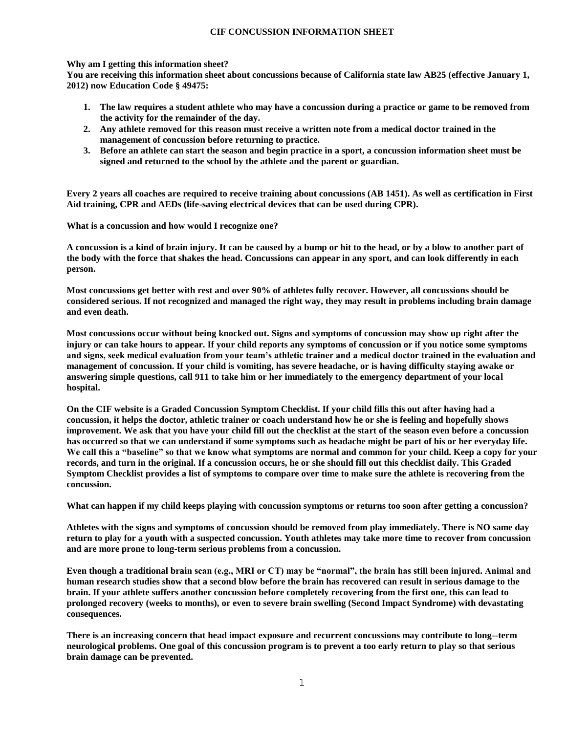# **CIF CONCUSSION INFORMATION SHEET**

### **Why am I getting this information sheet?**

**You are receiving this information sheet about concussions because of California state law AB25 (effective January 1, 2012) now Education Code § 49475:**

- **1. The law requires a student athlete who may have a concussion during a practice or game to be removed from the activity for the remainder of the day.**
- **2. Any athlete removed for this reason must receive a written note from a medical doctor trained in the management of concussion before returning to practice.**
- **3. Before an athlete can start the season and begin practice in a sport, a concussion information sheet must be signed and returned to the school by the athlete and the parent or guardian.**

**Every 2 years all coaches are required to receive training about concussions (AB 1451). As well as certification in First Aid training, CPR and AEDs (life-saving electrical devices that can be used during CPR).**

**What is a concussion and how would I recognize one?**

**A concussion is a kind of brain injury. It can be caused by a bump or hit to the head, or by a blow to another part of the body with the force that shakes the head. Concussions can appear in any sport, and can look differently in each person.**

**Most concussions get better with rest and over 90% of athletes fully recover. However, all concussions should be considered serious. If not recognized and managed the right way, they may result in problems including brain damage and even death.**

**Most concussions occur without being knocked out. Signs and symptoms of concussion may show up right after the injury or can take hours to appear. If your child reports any symptoms of concussion or if you notice some symptoms and signs, seek medical evaluation from your team's athletic trainer and a medical doctor trained in the evaluation and management of concussion. If your child is vomiting, has severe headache, or is having difficulty staying awake or answering simple questions, call 911 to take him or her immediately to the emergency department of your local hospital.**

**On the CIF website is a Graded Concussion Symptom Checklist. If your child fills this out after having had a concussion, it helps the doctor, athletic trainer or coach understand how he or she is feeling and hopefully shows improvement. We ask that you have your child fill out the checklist at the start of the season even before a concussion has occurred so that we can understand if some symptoms such as headache might be part of his or her everyday life. We call this a "baseline" so that we know what symptoms are normal and common for your child. Keep a copy for your records, and turn in the original. If a concussion occurs, he or she should fill out this checklist daily. This Graded Symptom Checklist provides a list of symptoms to compare over time to make sure the athlete is recovering from the concussion.**

**What can happen if my child keeps playing with concussion symptoms or returns too soon after getting a concussion?**

**Athletes with the signs and symptoms of concussion should be removed from play immediately. There is NO same day return to play for a youth with a suspected concussion. Youth athletes may take more time to recover from concussion and are more prone to long-term serious problems from a concussion.**

**Even though a traditional brain scan (e.g., MRI or CT) may be "normal", the brain has still been injured. Animal and human research studies show that a second blow before the brain has recovered can result in serious damage to the brain. If your athlete suffers another concussion before completely recovering from the first one, this can lead to prolonged recovery (weeks to months), or even to severe brain swelling (Second Impact Syndrome) with devastating consequences.**

**There is an increasing concern that head impact exposure and recurrent concussions may contribute to long--term neurological problems. One goal of this concussion program is to prevent a too early return to play so that serious brain damage can be prevented.**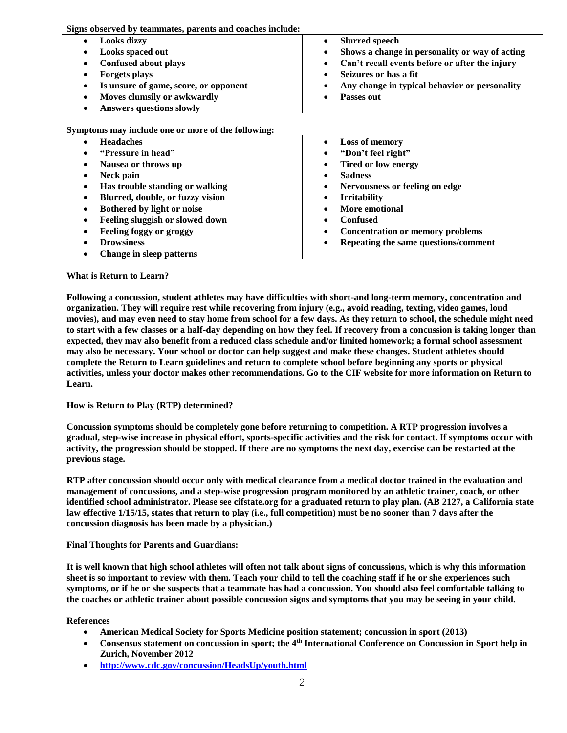**Signs observed by teammates, parents and coaches include:**

| <b>Looks dizzy</b><br>٠                            | <b>Slurred speech</b>                            |
|----------------------------------------------------|--------------------------------------------------|
| Looks spaced out<br>٠                              | • Shows a change in personality or way of acting |
| Confused about plays<br>٠                          | • Can't recall events before or after the injury |
| <b>Forgets plays</b><br>٠                          | Seizures or has a fit                            |
| Is unsure of game, score, or opponent<br>$\bullet$ | Any change in typical behavior or personality    |
| Moves clumsily or awkwardly<br>٠                   | Passes out                                       |
| <b>Answers questions slowly</b>                    |                                                  |

**Symptoms may include one or more of the following:**

| <b>Headaches</b>                 | Loss of memory                          |
|----------------------------------|-----------------------------------------|
| ٠                                | $\bullet$                               |
| "Pressure in head"               | "Don't feel right"                      |
| ٠                                | $\bullet$                               |
| Nausea or throws up              | <b>Tired or low energy</b>              |
| ٠                                | $\bullet$                               |
| Neck pain                        | <b>Sadness</b>                          |
| ٠                                | ٠                                       |
| Has trouble standing or walking  | Nervousness or feeling on edge          |
| ٠                                | $\bullet$                               |
| Blurred, double, or fuzzy vision | <b>Irritability</b>                     |
| ٠                                | $\bullet$                               |
| Bothered by light or noise       | More emotional                          |
| ٠                                | $\bullet$                               |
| Feeling sluggish or slowed down  | <b>Confused</b>                         |
| ٠                                | ٠                                       |
| Feeling foggy or groggy          | <b>Concentration or memory problems</b> |
| ٠                                | ٠                                       |
| <b>Drowsiness</b>                | Repeating the same questions/comment    |
| ٠                                | ٠                                       |
| Change in sleep patterns<br>٠    |                                         |

### **What is Return to Learn?**

**Following a concussion, student athletes may have difficulties with short-and long-term memory, concentration and organization. They will require rest while recovering from injury (e.g., avoid reading, texting, video games, loud movies), and may even need to stay home from school for a few days. As they return to school, the schedule might need to start with a few classes or a half-day depending on how they feel. If recovery from a concussion is taking longer than expected, they may also benefit from a reduced class schedule and/or limited homework; a formal school assessment may also be necessary. Your school or doctor can help suggest and make these changes. Student athletes should complete the Return to Learn guidelines and return to complete school before beginning any sports or physical activities, unless your doctor makes other recommendations. Go to the CIF website for more information on Return to Learn.**

# **How is Return to Play (RTP) determined?**

**Concussion symptoms should be completely gone before returning to competition. A RTP progression involves a gradual, step-wise increase in physical effort, sports-specific activities and the risk for contact. If symptoms occur with activity, the progression should be stopped. If there are no symptoms the next day, exercise can be restarted at the previous stage.**

**RTP after concussion should occur only with medical clearance from a medical doctor trained in the evaluation and management of concussions, and a step-wise progression program monitored by an athletic trainer, coach, or other identified school administrator. Please see cifstate.org for a graduated return to play plan. (AB 2127, a California state law effective 1/15/15, states that return to play (i.e., full competition) must be no sooner than 7 days after the concussion diagnosis has been made by a physician.)**

### **Final Thoughts for Parents and Guardians:**

**It is well known that high school athletes will often not talk about signs of concussions, which is why this information sheet is so important to review with them. Teach your child to tell the coaching staff if he or she experiences such symptoms, or if he or she suspects that a teammate has had a concussion. You should also feel comfortable talking to the coaches or athletic trainer about possible concussion signs and symptoms that you may be seeing in your child.**

### **References**

- **American Medical Society for Sports Medicine position statement; concussion in sport (2013)**
- **Consensus statement on concussion in sport; the 4th International Conference on Concussion in Sport help in Zurich, November 2012**
- **<http://www.cdc.gov/concussion/HeadsUp/youth.html>**